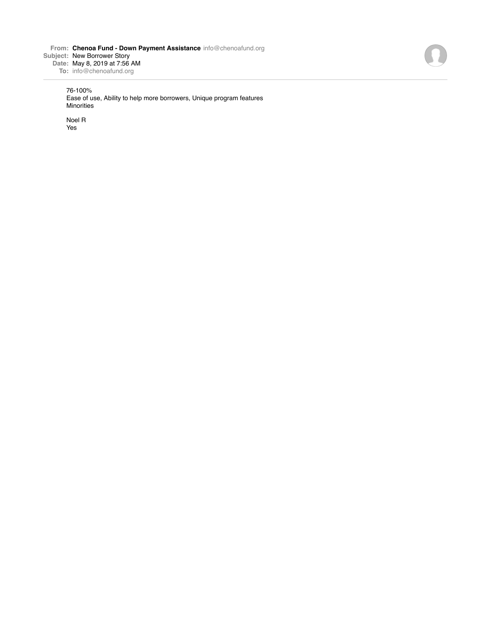**From: Chenoa Fund - Down Payment Assistance** info@chenoafund.org **Subject:** New Borrower Story **Date:** May 8, 2019 at 7:56 AM **To:** info@chenoafund.org



76-100%

Ease of use, Ability to help more borrowers, Unique program features Minorities

Noel R Yes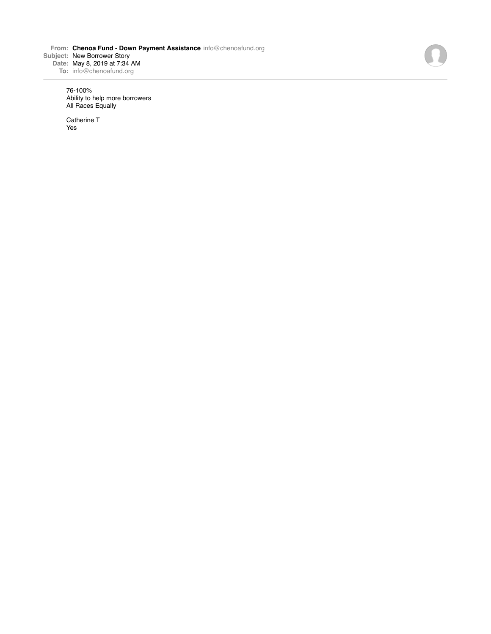**From: Chenoa Fund - Down Payment Assistance** info@chenoafund.org **Subject:** New Borrower Story **Date:** May 8, 2019 at 7:34 AM **To:** info@chenoafund.org

76-100% Ability to help more borrowers All Races Equally

Catherine T Yes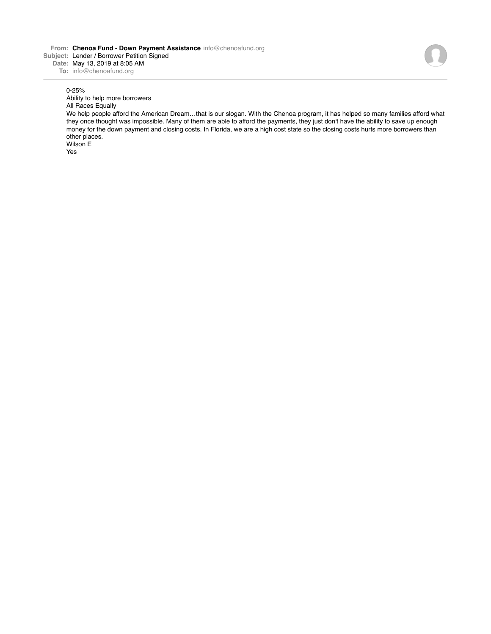**Subject:** Lender / Borrower Petition Signed **Date:** May 13, 2019 at 8:05 AM

**To:** info@chenoafund.org

## 0-25%

Ability to help more borrowers

All Races Equally

We help people afford the American Dream...that is our slogan. With the Chenoa program, it has helped so many families afford what they once thought was impossible. Many of them are able to afford the payments, they just don't have the ability to save up enough money for the down payment and closing costs. In Florida, we are a high cost state so the closing costs hurts more borrowers than other places.

Wilson E

Yes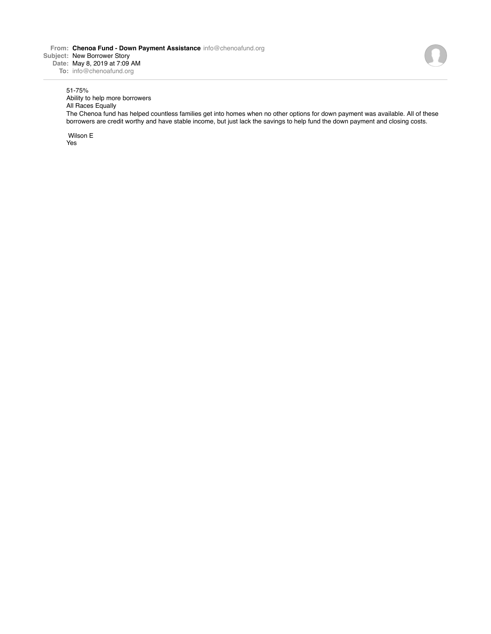## 51-75%

Ability to help more borrowers All Races Equally

The Chenoa fund has helped countless families get into homes when no other options for down payment was available. All of these borrowers are credit worthy and have stable income, but just lack the savings to help fund the down payment and closing costs.

Wilson E

Yes